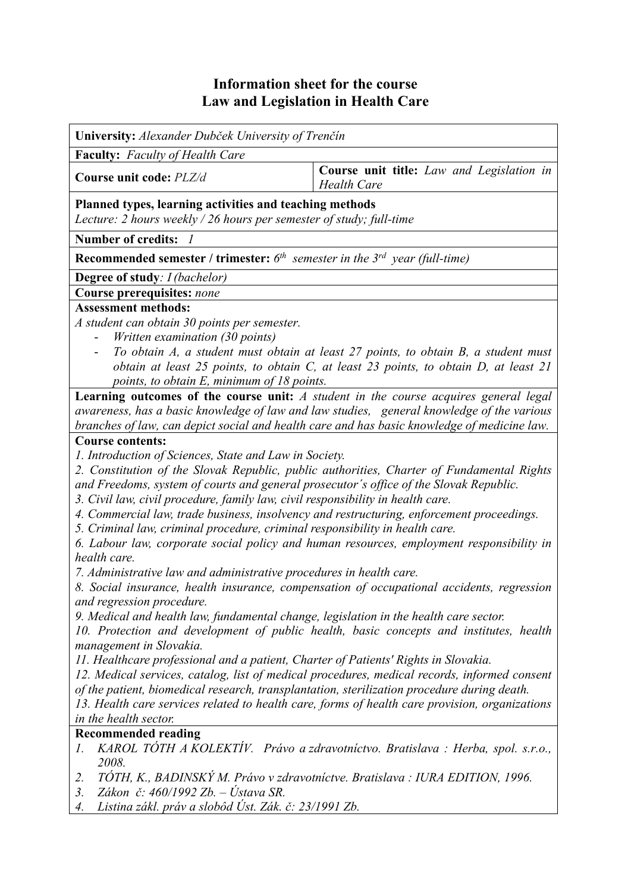## **Information sheet for the course Law and Legislation in Health Care**

**University:** *Alexander Dubček University of Trenčín* **Faculty:** *Faculty of Health Care* **Course unit code:**  $PLZ/d$  **Course unit title:** *Law and Legislation in Health Care* **Planned types, learning activities and teaching methods**  *Lecture: 2 hours weekly / 26 hours per semester of study; full-time*  **Number of credits:** *1* **Recommended semester / trimester:** *6th semester in the 3rd year (full-time)* **Degree of study***: I (bachelor)* **Course prerequisites:** *none* **Assessment methods:**  *A student can obtain 30 points per semester.*  - *Written examination (30 points)*  - *To obtain A, a student must obtain at least 27 points, to obtain B, a student must obtain at least 25 points, to obtain C, at least 23 points, to obtain D, at least 21 points, to obtain E, minimum of 18 points.*  **Learning outcomes of the course unit:** *A student in the course acquires general legal awareness, has a basic knowledge of law and law studies, general knowledge of the various branches of law, can depict social and health care and has basic knowledge of medicine law.*  **Course contents:**  *1. Introduction of Sciences, State and Law in Society. 2. Constitution of the Slovak Republic, public authorities, Charter of Fundamental Rights and Freedoms, system of courts and general prosecutor´s office of the Slovak Republic. 3. Civil law, civil procedure, family law, civil responsibility in health care. 4. Commercial law, trade business, insolvency and restructuring, enforcement proceedings. 5. Criminal law, criminal procedure, criminal responsibility in health care. 6. Labour law, corporate social policy and human resources, employment responsibility in health care. 7. Administrative law and administrative procedures in health care. 8. Social insurance, health insurance, compensation of occupational accidents, regression and regression procedure. 9. Medical and health law, fundamental change, legislation in the health care sector. 10. Protection and development of public health, basic concepts and institutes, health management in Slovakia. 11. Healthcare professional and a patient, Charter of Patients' Rights in Slovakia. 12. Medical services, catalog, list of medical procedures, medical records, informed consent of the patient, biomedical research, transplantation, sterilization procedure during death. 13. Health care services related to health care, forms of health care provision, organizations in the health sector.* **Recommended reading**  *1. KAROL TÓTH A KOLEKTÍV. Právo a zdravotníctvo. Bratislava : Herba, spol. s.r.o., 2008. 2. TÓTH, K., BADINSKÝ M. Právo v zdravotníctve. Bratislava : IURA EDITION, 1996. 3. Zákon č: 460/1992 Zb. – Ústava SR. 4. Listina zákl. práv a slobôd Úst. Zák. č: 23/1991 Zb.*